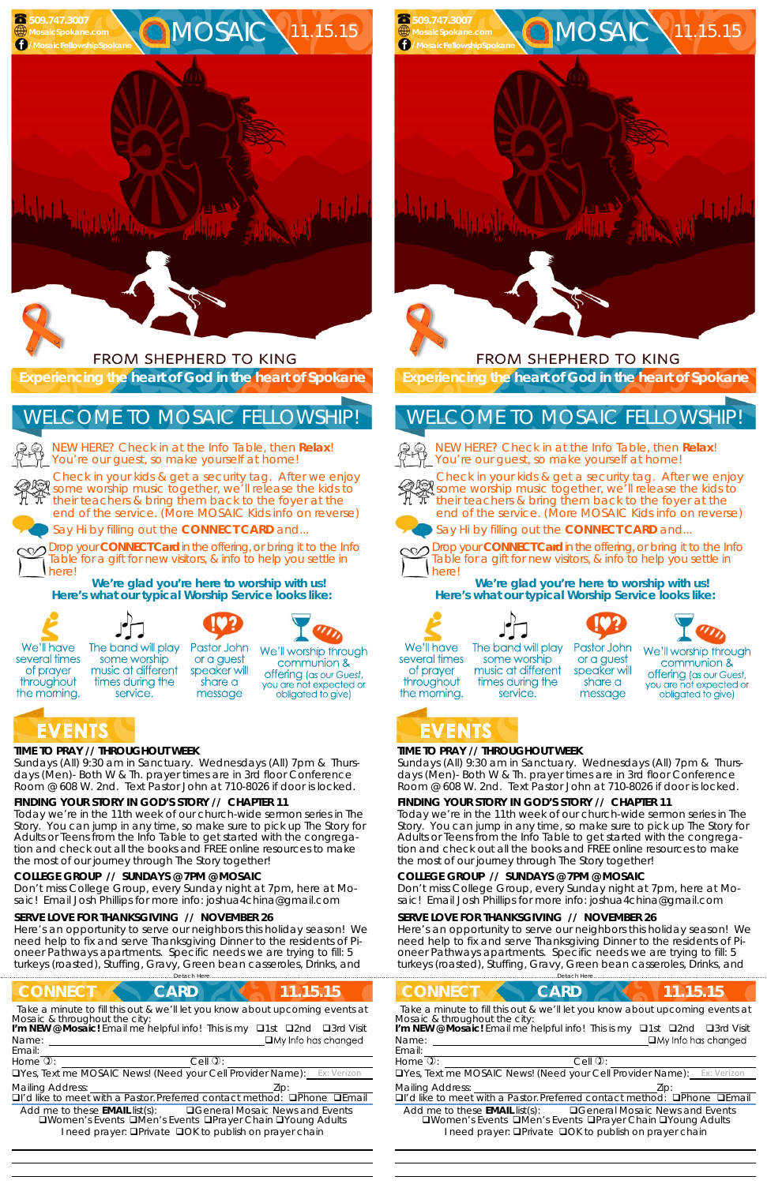Room @ 608 W. 2nd. Text Pastor John at 710-8026 if door is locked.

### **FINDING YOUR STORY IN GOD'S STORY // CHAPTER 11**

Today we're in the 11th week of our church-wide sermon series in The Story. You can jump in any time, so make sure to pick up The Story for Adults or Teens from the Info Table to get started with the congregation and check out all the books and FREE online resources to make the most of our journey through The Story together!

FROM SHEPHERD TO KING

**OMOSAIC** 11.15.15

#### **COLLEGE GROUP // SUNDAYS @ 7PM @ MOSAIC**

Don't miss College Group, every Sunday night at 7pm, here at Mosaic! Email Josh Phillips for more info: joshua4china@gmail.com

#### **SERVE LOVE FOR THANKSGIVING // NOVEMBER 26**

Here's an opportunity to serve our neighbors this holiday season! We need help to fix and serve Thanksgiving Dinner to the residents of Pioneer Pathways apartments. Specific needs we are trying to fill: 5 turkeys (roasted), Stuffing, Gravy, Green bean casseroles, Drinks, and



Here's an opportunity to serve our neighbors this holiday season! We need help to fix and serve Thanksgiving Dinner to the residents of Pioneer Pathways apartments. Specific needs we are trying to fill: 5 turkeys (roasted), Stuffing, Gravy, Green bean casseroles, Drinks, and .<br>…<br>Detach Here.

NEW HERE? Check in at the Info Table, then **Relax**! You're our guest, so make yourself at home!



 

## **TIME TO PRAY // THROUGHOUT WEEK**

*Sundays* (All) 9:30 am in Sanctuary. *Wednesdays* (All) 7pm & *Thursdays* (Men)- Both W & Th. prayer times are in 3rd floor Conference Room @ 608 W. 2nd. Text Pastor John at 710-8026 if door is locked.

## **FINDING YOUR STORY IN GOD'S STORY // CHAPTER 11**

Today we're in the 11th week of our church-wide sermon series in The Story. You can jump in any time, so make sure to pick up The Story for Adults or Teens from the Info Table to get started with the congregation and check out all the books and FREE online resources to make the most of our journey through The Story together!



of prayer

The band will play some worship music at different times during the service.

Pastor John or a guest speaker will share a message

| <b>CONNECT</b><br>CARD<br>.15.15                                                                                                                                                                                                                                      |
|-----------------------------------------------------------------------------------------------------------------------------------------------------------------------------------------------------------------------------------------------------------------------|
| Take a minute to fill this out & we'll let you know about upcoming events at<br>Mosaic & throughout the city:<br>I'm NEW @ Mosaic! Email me helpful info! This is my $\Box$ 1st<br>$\Box$ 3rd Visit<br>$\square$ 2nd<br>$\Box$ My Info has changed<br>Name:<br>Email: |
| Home $\mathbb{Q}$ :<br>$Cell$ $\mathcal{D}$ :                                                                                                                                                                                                                         |
| <b>OYes, Text me MOSAIC News! (Need your Cell Provider Name):</b> Ex: Verizon                                                                                                                                                                                         |
| <b>Mailing Address:</b><br>□I'd like to meet with a Pastor. Preferred contact method: □Phone □Email                                                                                                                                                                   |
| <b>QGeneral Mosaic News and Events</b><br>Add me to these <b>EMAIL</b> list(s):<br><b>QWomen's Events QMen's Events QPrayer Chain QYoung Adults</b><br>I need prayer: <b>QPrivate QOK to publish on prayer chain</b>                                                  |
|                                                                                                                                                                                                                                                                       |

#### **COLLEGE GROUP // SUNDAYS @ 7PM @ MOSAIC**

Don't miss College Group, every Sunday night at 7pm, here at Mosaic! Email Josh Phillips for more info: joshua4china@gmail.com

#### **SERVE LOVE FOR THANKSGIVING // NOVEMBER 26**

**Experiencing the heart of God in the heart of Spokane** 

Check in your kids & get a security tag. After we enjoy some worship music together, we'll release the kids to their teachers & bring them back to the foyer at the end of the service. (More MOSAIC Kids info on reverse)



Say Hi by filling out the **CONNECT CARD** and...



Drop your **CONNECT Card** in the offering, or bring it to the Info Table for a gift for new visitors, & info to help you settle in here!

**We're glad you're here to worship with us! Here's what our typical Worship Service looks like:** 





We'll worship through communion &

offering (as our Guest, you are not expected or obligated to give)

# **EVENTS**

 **509.747.3007** 

# WELCOME TO MOSAIC FELLOWSHIP!